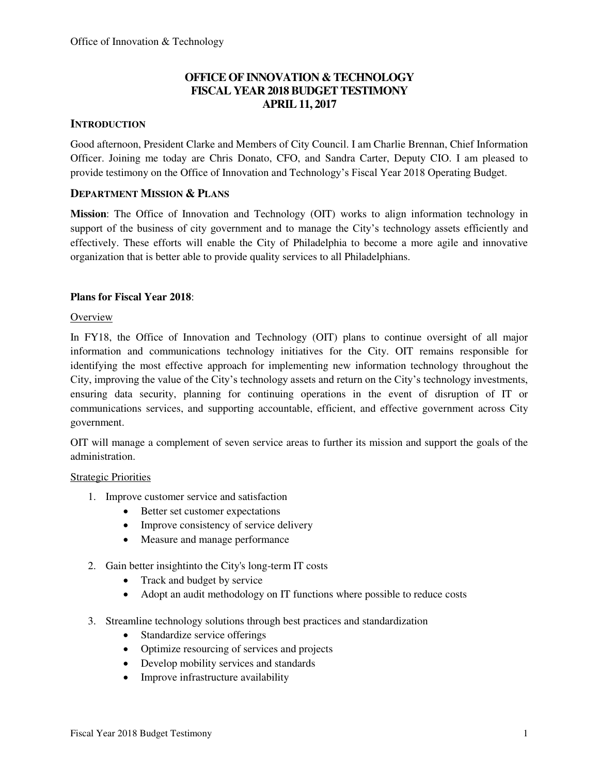## **OFFICE OF INNOVATION & TECHNOLOGY FISCAL YEAR 2018 BUDGET TESTIMONY APRIL 11, 2017**

## **INTRODUCTION**

Good afternoon, President Clarke and Members of City Council. I am Charlie Brennan, Chief Information Officer. Joining me today are Chris Donato, CFO, and Sandra Carter, Deputy CIO. I am pleased to provide testimony on the Office of Innovation and Technology's Fiscal Year 2018 Operating Budget.

### **DEPARTMENT MISSION & PLANS**

**Mission**: The Office of Innovation and Technology (OIT) works to align information technology in support of the business of city government and to manage the City's technology assets efficiently and effectively. These efforts will enable the City of Philadelphia to become a more agile and innovative organization that is better able to provide quality services to all Philadelphians.

### **Plans for Fiscal Year 2018**:

#### **Overview**

In FY18, the Office of Innovation and Technology (OIT) plans to continue oversight of all major information and communications technology initiatives for the City. OIT remains responsible for identifying the most effective approach for implementing new information technology throughout the City, improving the value of the City's technology assets and return on the City's technology investments, ensuring data security, planning for continuing operations in the event of disruption of IT or communications services, and supporting accountable, efficient, and effective government across City government.

OIT will manage a complement of seven service areas to further its mission and support the goals of the administration.

#### Strategic Priorities

- 1. Improve customer service and satisfaction
	- Better set customer expectations
	- Improve consistency of service delivery
	- Measure and manage performance
- 2. Gain better insightinto the City's long-term IT costs
	- Track and budget by service
	- Adopt an audit methodology on IT functions where possible to reduce costs
- 3. Streamline technology solutions through best practices and standardization
	- Standardize service offerings
	- Optimize resourcing of services and projects
	- Develop mobility services and standards
	- Improve infrastructure availability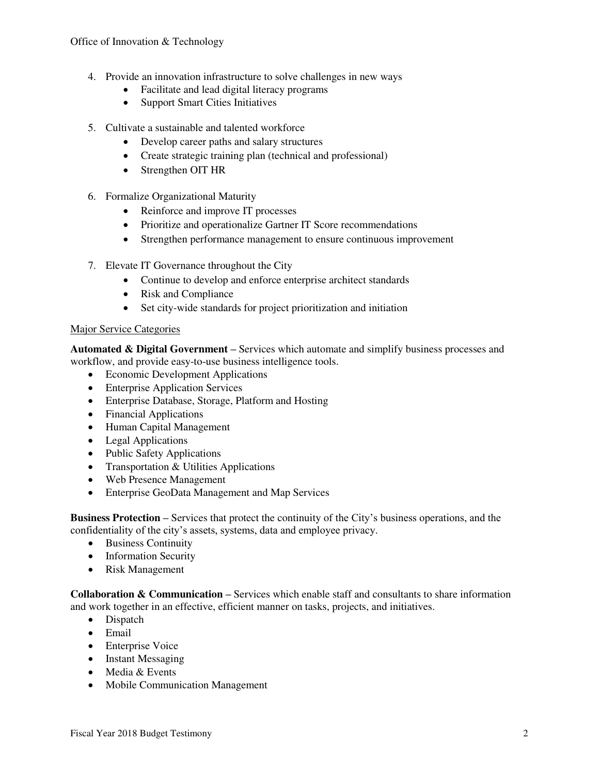- 4. Provide an innovation infrastructure to solve challenges in new ways
	- Facilitate and lead digital literacy programs
	- Support Smart Cities Initiatives
- 5. Cultivate a sustainable and talented workforce
	- Develop career paths and salary structures
	- Create strategic training plan (technical and professional)
	- Strengthen OIT HR
- 6. Formalize Organizational Maturity
	- Reinforce and improve IT processes
	- Prioritize and operationalize Gartner IT Score recommendations
	- Strengthen performance management to ensure continuous improvement
- 7. Elevate IT Governance throughout the City
	- Continue to develop and enforce enterprise architect standards
	- Risk and Compliance
	- Set city-wide standards for project prioritization and initiation

#### Major Service Categories

**Automated & Digital Government –** Services which automate and simplify business processes and workflow, and provide easy-to-use business intelligence tools.

- Economic Development Applications
- Enterprise Application Services
- Enterprise Database, Storage, Platform and Hosting
- Financial Applications
- Human Capital Management
- Legal Applications
- Public Safety Applications
- Transportation & Utilities Applications
- Web Presence Management
- Enterprise GeoData Management and Map Services

**Business Protection –** Services that protect the continuity of the City's business operations, and the confidentiality of the city's assets, systems, data and employee privacy.

- Business Continuity
- Information Security
- Risk Management

**Collaboration & Communication –** Services which enable staff and consultants to share information and work together in an effective, efficient manner on tasks, projects, and initiatives.

- Dispatch
- Email
- Enterprise Voice
- Instant Messaging
- Media & Events
- Mobile Communication Management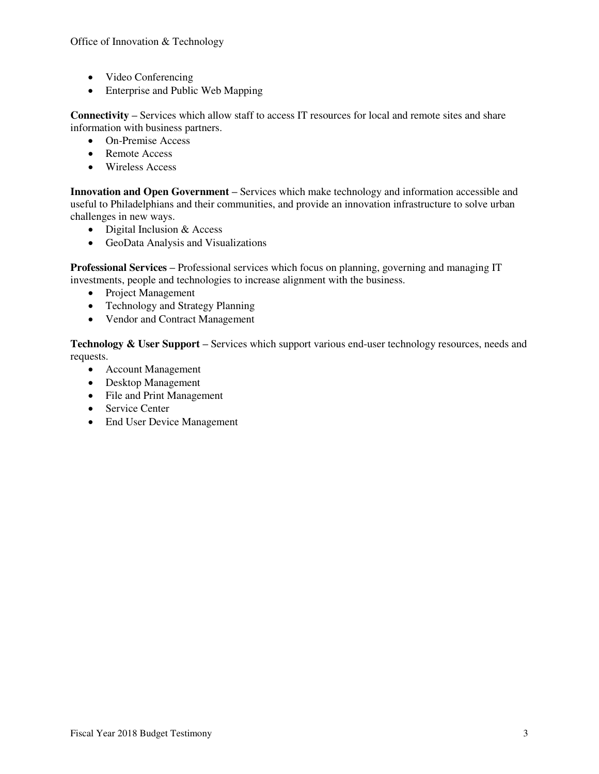- Video Conferencing
- Enterprise and Public Web Mapping

**Connectivity – Services which allow staff to access IT resources for local and remote sites and share** information with business partners.

- On-Premise Access
- Remote Access
- Wireless Access

**Innovation and Open Government –** Services which make technology and information accessible and useful to Philadelphians and their communities, and provide an innovation infrastructure to solve urban challenges in new ways.

- Digital Inclusion & Access
- GeoData Analysis and Visualizations

**Professional Services –** Professional services which focus on planning, governing and managing IT investments, people and technologies to increase alignment with the business.

- Project Management
- Technology and Strategy Planning
- Vendor and Contract Management

**Technology & User Support –** Services which support various end-user technology resources, needs and requests.

- Account Management
- Desktop Management
- File and Print Management
- Service Center
- End User Device Management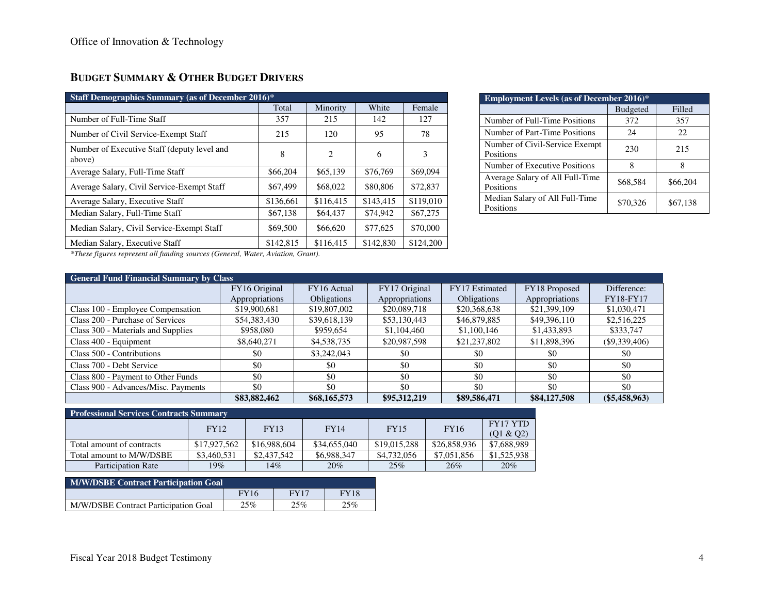## **BUDGET SUMMARY & OTHER BUDGET DRIVERS**

| <b>Staff Demographics Summary (as of December 2016)*</b> |           |           |           |           |  |  |  |  |  |  |  |  |
|----------------------------------------------------------|-----------|-----------|-----------|-----------|--|--|--|--|--|--|--|--|
|                                                          | Total     | Minority  | White     | Female    |  |  |  |  |  |  |  |  |
| Number of Full-Time Staff                                | 357       | 215       | 142       | 127       |  |  |  |  |  |  |  |  |
| Number of Civil Service-Exempt Staff                     | 215       | 120       | 95        | 78        |  |  |  |  |  |  |  |  |
| Number of Executive Staff (deputy level and<br>above)    | 8         | 2         | 6         | 3         |  |  |  |  |  |  |  |  |
| Average Salary, Full-Time Staff                          | \$66,204  | \$65,139  | \$76,769  | \$69,094  |  |  |  |  |  |  |  |  |
| Average Salary, Civil Service-Exempt Staff               | \$67,499  | \$68,022  | \$80,806  | \$72,837  |  |  |  |  |  |  |  |  |
| Average Salary, Executive Staff                          | \$136,661 | \$116.415 | \$143.415 | \$119,010 |  |  |  |  |  |  |  |  |
| Median Salary, Full-Time Staff                           | \$67,138  | \$64,437  | \$74,942  | \$67,275  |  |  |  |  |  |  |  |  |
| Median Salary, Civil Service-Exempt Staff                | \$69,500  | \$66,620  | \$77,625  | \$70,000  |  |  |  |  |  |  |  |  |
| Median Salary, Executive Staff<br>$\sim$<br>1.777        | \$142,815 | \$116,415 | \$142,830 | \$124,200 |  |  |  |  |  |  |  |  |

| <b>Employment Levels (as of December 2016)*</b> |                 |          |  |  |  |  |  |  |  |  |
|-------------------------------------------------|-----------------|----------|--|--|--|--|--|--|--|--|
|                                                 | <b>Budgeted</b> | Filled   |  |  |  |  |  |  |  |  |
| Number of Full-Time Positions                   | 372             | 357      |  |  |  |  |  |  |  |  |
| Number of Part-Time Positions                   | 24              | 22       |  |  |  |  |  |  |  |  |
| Number of Civil-Service Exempt<br>Positions     | 230             | 215      |  |  |  |  |  |  |  |  |
| Number of Executive Positions                   | 8               | 8        |  |  |  |  |  |  |  |  |
| Average Salary of All Full-Time<br>Positions    | \$68,584        | \$66,204 |  |  |  |  |  |  |  |  |
| Median Salary of All Full-Time<br>Positions     | \$70,326        | \$67,138 |  |  |  |  |  |  |  |  |

*\*These figures represent all funding sources (General, Water, Aviation, Grant).* 

|                                     | <b>General Fund Financial Summary by Class</b> |                    |                |                    |                |                  |  |  |  |  |  |  |  |  |
|-------------------------------------|------------------------------------------------|--------------------|----------------|--------------------|----------------|------------------|--|--|--|--|--|--|--|--|
|                                     | FY16 Original                                  | FY16 Actual        | FY17 Original  | FY17 Estimated     | FY18 Proposed  | Difference:      |  |  |  |  |  |  |  |  |
|                                     | Appropriations                                 | <b>Obligations</b> | Appropriations | <b>Obligations</b> | Appropriations | <b>FY18-FY17</b> |  |  |  |  |  |  |  |  |
| Class 100 - Employee Compensation   | \$19,900,681                                   | \$19,807,002       | \$20,089,718   | \$20,368,638       | \$21,399,109   | \$1,030,471      |  |  |  |  |  |  |  |  |
| Class 200 - Purchase of Services    | \$54,383,430                                   | \$39,618,139       | \$53,130,443   | \$46,879,885       | \$49,396,110   | \$2,516,225      |  |  |  |  |  |  |  |  |
| Class 300 - Materials and Supplies  | \$958,080                                      | \$959,654          | \$1,104,460    | \$1,100,146        | \$1,433,893    | \$333,747        |  |  |  |  |  |  |  |  |
| Class 400 - Equipment               | \$8,640,271                                    | \$4,538,735        | \$20,987,598   | \$21,237,802       | \$11,898,396   | $(\$9,339,406)$  |  |  |  |  |  |  |  |  |
| Class 500 - Contributions           | \$0                                            | \$3,242,043        | \$0            | \$0                | \$0            | \$0              |  |  |  |  |  |  |  |  |
| Class 700 - Debt Service            | \$0                                            | \$0                | \$0            | \$0                | \$0            | \$0              |  |  |  |  |  |  |  |  |
| Class 800 - Payment to Other Funds  | \$0                                            | \$0                | \$0            | \$0                | \$0            | \$0              |  |  |  |  |  |  |  |  |
| Class 900 - Advances/Misc. Payments | \$0                                            | \$0                | \$0            | \$0                | \$0            | \$0              |  |  |  |  |  |  |  |  |
|                                     | \$83,882,462                                   | \$68,165,573       | \$95,312,219   | \$89,586,471       | \$84,127,508   | $(\$5,458,963)$  |  |  |  |  |  |  |  |  |

#### **Professional Services Contracts Summary**

|                           | <b>FY12</b>  | <b>FY13</b>  | <b>FY14</b>  | <b>FY15</b>  | <b>FY16</b>  | FY17 YTD<br>(Q1 & Q2) |
|---------------------------|--------------|--------------|--------------|--------------|--------------|-----------------------|
| Total amount of contracts | \$17,927,562 | \$16,988,604 | \$34,655,040 | \$19,015,288 | \$26,858,936 | \$7,688,989           |
| Total amount to M/W/DSBE  | \$3,460,531  | \$2,437,542  | \$6,988,347  | \$4,732,056  | \$7,051,856  | \$1,525,938           |
| Participation Rate        | 19%          | $4\%$        | 20%          | 25%          | 26%          | 20%                   |

| <b>M/W/DSBE Contract Participation Goal</b> |             |             |             |  |  |  |  |  |  |  |  |
|---------------------------------------------|-------------|-------------|-------------|--|--|--|--|--|--|--|--|
|                                             | <b>FY16</b> | <b>FY17</b> | <b>FY18</b> |  |  |  |  |  |  |  |  |
| M/W/DSBE Contract Participation Goal        | 25%         | 25%         | 25%         |  |  |  |  |  |  |  |  |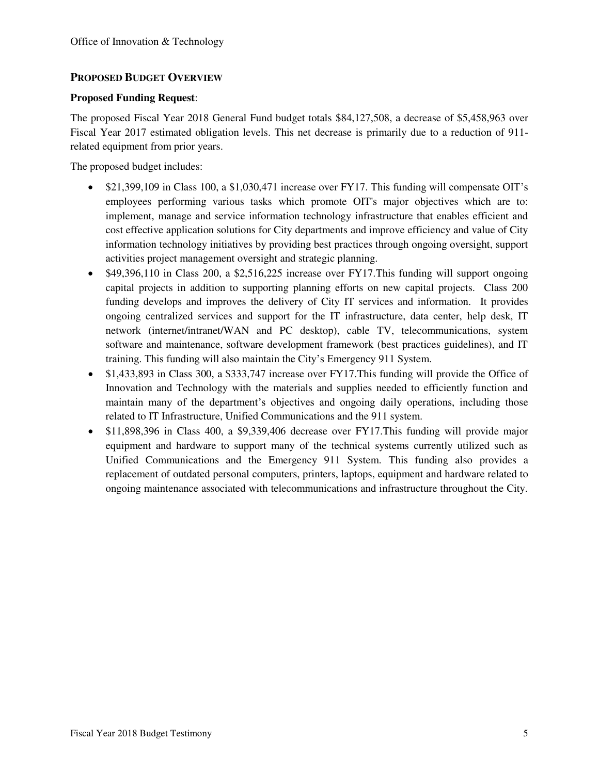## **PROPOSED BUDGET OVERVIEW**

#### **Proposed Funding Request**:

The proposed Fiscal Year 2018 General Fund budget totals \$84,127,508, a decrease of \$5,458,963 over Fiscal Year 2017 estimated obligation levels. This net decrease is primarily due to a reduction of 911 related equipment from prior years.

The proposed budget includes:

- \$21,399,109 in Class 100, a \$1,030,471 increase over FY17. This funding will compensate OIT's employees performing various tasks which promote OIT's major objectives which are to: implement, manage and service information technology infrastructure that enables efficient and cost effective application solutions for City departments and improve efficiency and value of City information technology initiatives by providing best practices through ongoing oversight, support activities project management oversight and strategic planning.
- $\bullet$  \$49,396,110 in Class 200, a \$2,516,225 increase over FY17. This funding will support ongoing capital projects in addition to supporting planning efforts on new capital projects. Class 200 funding develops and improves the delivery of City IT services and information. It provides ongoing centralized services and support for the IT infrastructure, data center, help desk, IT network (internet/intranet/WAN and PC desktop), cable TV, telecommunications, system software and maintenance, software development framework (best practices guidelines), and IT training. This funding will also maintain the City's Emergency 911 System.
- \$1,433,893 in Class 300, a \$333,747 increase over FY17.This funding will provide the Office of Innovation and Technology with the materials and supplies needed to efficiently function and maintain many of the department's objectives and ongoing daily operations, including those related to IT Infrastructure, Unified Communications and the 911 system.
- \$11,898,396 in Class 400, a \$9,339,406 decrease over FY17.This funding will provide major equipment and hardware to support many of the technical systems currently utilized such as Unified Communications and the Emergency 911 System. This funding also provides a replacement of outdated personal computers, printers, laptops, equipment and hardware related to ongoing maintenance associated with telecommunications and infrastructure throughout the City.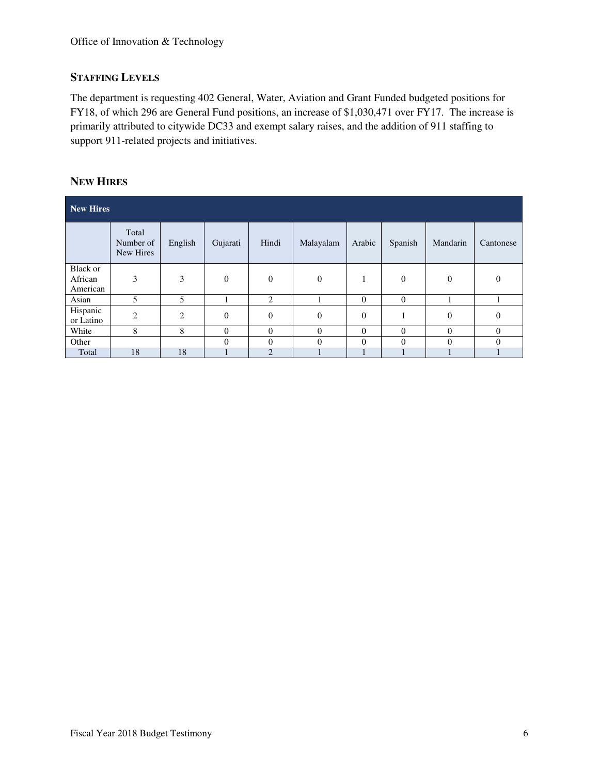## **STAFFING LEVELS**

The department is requesting 402 General, Water, Aviation and Grant Funded budgeted positions for FY18, of which 296 are General Fund positions, an increase of \$1,030,471 over FY17. The increase is primarily attributed to citywide DC33 and exempt salary raises, and the addition of 911 staffing to support 911-related projects and initiatives.

### **NEW HIRES**

| New Hires                       |                                 |         |              |                |           |          |          |          |           |
|---------------------------------|---------------------------------|---------|--------------|----------------|-----------|----------|----------|----------|-----------|
|                                 | Total<br>Number of<br>New Hires | English | Gujarati     | Hindi          | Malayalam | Arabic   | Spanish  | Mandarin | Cantonese |
| Black or<br>African<br>American | 3                               | 3       | $\mathbf{0}$ | $\theta$       | $\theta$  |          | $\theta$ | $\theta$ | $\Omega$  |
| Asian                           | 5                               | 5       |              | 2              |           | $\theta$ | $\theta$ |          |           |
| Hispanic<br>or Latino           | $\overline{2}$                  | 2       | $\mathbf{0}$ | $\theta$       | $\theta$  | $\theta$ | 1        | $\theta$ | $\Omega$  |
| White                           | 8                               | 8       | $\mathbf{0}$ | $\Omega$       | $\Omega$  | $\Omega$ | $\Omega$ | $\Omega$ | $\Omega$  |
| Other                           |                                 |         | $\mathbf{0}$ | $\Omega$       | $\theta$  | $\theta$ | $\Omega$ | $\Omega$ | $\theta$  |
| Total                           | 18                              | 18      |              | $\overline{2}$ |           |          |          |          |           |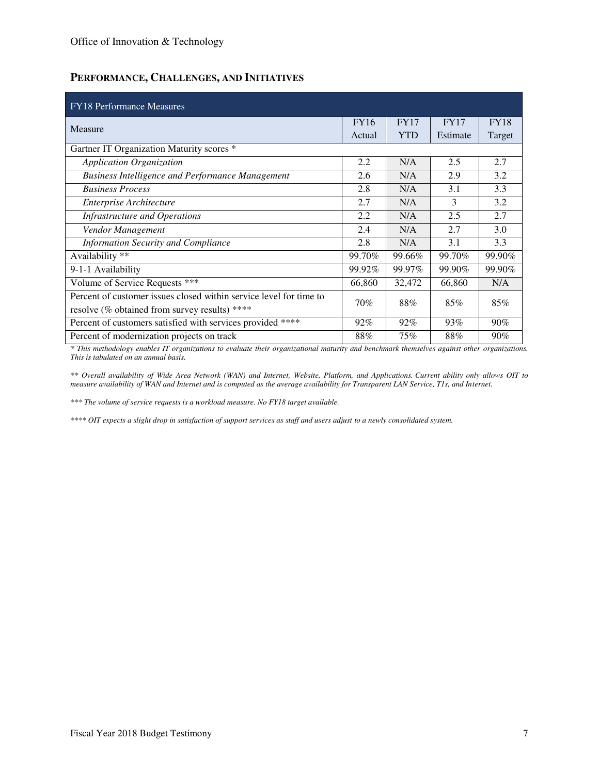## **PERFORMANCE, CHALLENGES, AND INITIATIVES**

| <b>FY18</b> Performance Measures                                   |             |            |             |             |  |
|--------------------------------------------------------------------|-------------|------------|-------------|-------------|--|
| Measure                                                            | <b>FY16</b> | FY17       | <b>FY17</b> | <b>FY18</b> |  |
|                                                                    | Actual      | <b>YTD</b> | Estimate    | Target      |  |
| Gartner IT Organization Maturity scores *                          |             |            |             |             |  |
| Application Organization                                           | 2.2         | N/A        | 2.5         | 2.7         |  |
| <b>Business Intelligence and Performance Management</b>            | 2.6         | N/A        | 2.9         | 3.2         |  |
| <b>Business Process</b>                                            | 2.8         | N/A        | 3.1         | 3.3         |  |
| Enterprise Architecture                                            | 2.7         | N/A        | 3           | 3.2         |  |
| Infrastructure and Operations                                      | 2.2         | N/A        | 2.5         | 2.7         |  |
| Vendor Management                                                  | 2.4         | N/A        | 2.7         | 3.0         |  |
| <b>Information Security and Compliance</b>                         | 2.8         | N/A        | 3.1         | 3.3         |  |
| Availability **                                                    | 99.70%      | 99.66%     | 99.70%      | 99.90%      |  |
| 9-1-1 Availability                                                 | 99.92%      | 99.97%     | 99.90%      | 99.90%      |  |
| Volume of Service Requests ***                                     | 66,860      | 32,472     | 66,860      | N/A         |  |
| Percent of customer issues closed within service level for time to | 70%         | 88%        | 85%         | 85%         |  |
| resolve (% obtained from survey results) ****                      |             |            |             |             |  |
| Percent of customers satisfied with services provided ****         | $92\%$      | $92\%$     | 93%         | 90%         |  |
| Percent of modernization projects on track                         | 88%         | 75%        | 88%         | 90%         |  |

*\* This methodology enables IT organizations to evaluate their organizational maturity and benchmark themselves against other organizations. This is tabulated on an annual basis.* 

*\*\* Overall availability of Wide Area Network (WAN) and Internet, Website, Platform, and Applications. Current ability only allows OIT to measure availability of WAN and Internet and is computed as the average availability for Transparent LAN Service, T1s, and Internet.* 

*\*\*\* The volume of service requests is a workload measure. No FY18 target available.* 

*\*\*\*\* OIT expects a slight drop in satisfaction of support services as staff and users adjust to a newly consolidated system.*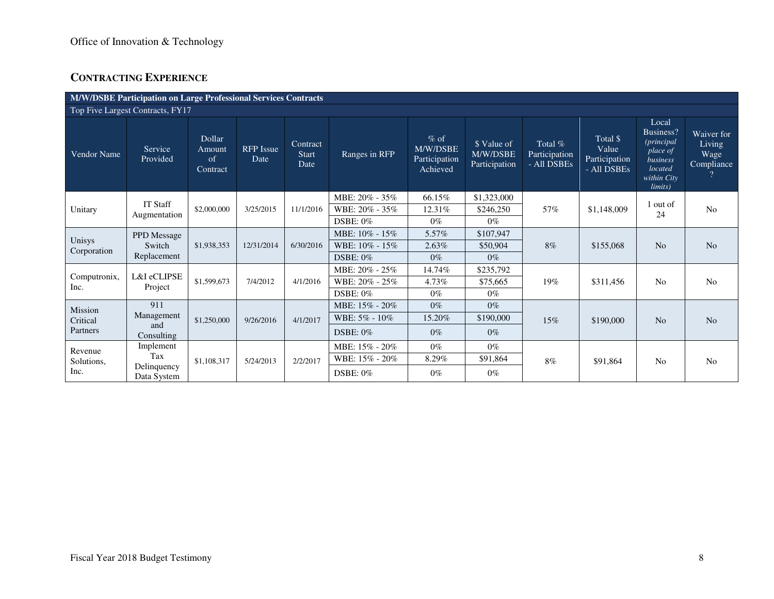## **CONTRACTING EXPERIENCE**

|                       | <b>M/W/DSBE Participation on Large Professional Services Contracts</b> |                                           |                          |                                  |                 |                                                 |                                          |                                         |                                                   |                                                                                                      |                                            |  |  |
|-----------------------|------------------------------------------------------------------------|-------------------------------------------|--------------------------|----------------------------------|-----------------|-------------------------------------------------|------------------------------------------|-----------------------------------------|---------------------------------------------------|------------------------------------------------------------------------------------------------------|--------------------------------------------|--|--|
|                       | Top Five Largest Contracts, FY17                                       |                                           |                          |                                  |                 |                                                 |                                          |                                         |                                                   |                                                                                                      |                                            |  |  |
| <b>Vendor Name</b>    | Service<br>Provided                                                    | <b>Dollar</b><br>Amount<br>of<br>Contract | <b>RFP</b> Issue<br>Date | Contract<br><b>Start</b><br>Date | Ranges in RFP   | $%$ of<br>M/W/DSBE<br>Participation<br>Achieved | \$ Value of<br>M/W/DSBE<br>Participation | Total %<br>Participation<br>- All DSBEs | Total \$<br>Value<br>Participation<br>- All DSBEs | Local<br>Business?<br><i>(principal</i><br>place of<br>business<br>located<br>within City<br>limits) | Waiver for<br>Living<br>Wage<br>Compliance |  |  |
|                       | <b>IT Staff</b><br>Augmentation                                        | \$2,000,000                               |                          |                                  | MBE: 20% - 35%  | 66.15%                                          | \$1,323,000                              |                                         |                                                   |                                                                                                      |                                            |  |  |
| Unitary               |                                                                        |                                           | 3/25/2015                | 11/1/2016                        | WBE: 20% - 35%  | 12.31%                                          | \$246,250                                | 57%                                     | \$1,148,009                                       | 1 out of<br>24                                                                                       | N <sub>o</sub>                             |  |  |
|                       |                                                                        |                                           |                          |                                  | DSBE: 0%        | $0\%$                                           | $0\%$                                    |                                         |                                                   |                                                                                                      |                                            |  |  |
|                       | PPD Message<br>Switch                                                  | \$1,938,353                               |                          | 6/30/2016                        | MBE: 10% - 15%  | 5.57%                                           | \$107,947                                | 8%                                      |                                                   |                                                                                                      |                                            |  |  |
| Unisys<br>Corporation |                                                                        |                                           | 12/31/2014               |                                  | WBE: 10% - 15%  | 2.63%                                           | \$50,904                                 |                                         | \$155,068                                         | N <sub>o</sub>                                                                                       | N <sub>o</sub>                             |  |  |
|                       | Replacement                                                            |                                           |                          |                                  | $DSBE: 0\%$     | $0\%$                                           | $0\%$                                    |                                         |                                                   |                                                                                                      |                                            |  |  |
|                       |                                                                        |                                           |                          | 4/1/2016                         | MBE: 20% - 25%  | 14.74%                                          | \$235,792                                |                                         |                                                   |                                                                                                      | N <sub>o</sub>                             |  |  |
| Computronix,<br>Inc.  | L&I eCLIPSE<br>Project                                                 | \$1,599,673                               | 7/4/2012                 |                                  | WBE: 20% - 25%  | 4.73%                                           | \$75,665                                 | 19%                                     | \$311,456                                         | N <sub>o</sub>                                                                                       |                                            |  |  |
|                       |                                                                        |                                           |                          |                                  | DSBE: $0\%$     | $0\%$                                           | $0\%$                                    |                                         |                                                   |                                                                                                      |                                            |  |  |
| Mission               | 911                                                                    |                                           |                          |                                  | MBE: 15% - 20%  | $0\%$                                           | $0\%$                                    |                                         |                                                   |                                                                                                      |                                            |  |  |
| Critical              | Management                                                             | \$1,250,000                               | 9/26/2016                | 4/1/2017                         | WBE: 5% - 10%   | 15.20%                                          | \$190,000                                | 15%                                     | \$190,000                                         | N <sub>o</sub>                                                                                       | N <sub>o</sub>                             |  |  |
| Partners              | and<br>Consulting                                                      |                                           |                          |                                  | <b>DSBE: 0%</b> | $0\%$                                           | $0\%$                                    |                                         |                                                   |                                                                                                      |                                            |  |  |
| Revenue               | Implement                                                              |                                           |                          |                                  | MBE: 15% - 20%  | $0\%$                                           | $0\%$                                    |                                         |                                                   |                                                                                                      | N <sub>0</sub>                             |  |  |
| Solutions,<br>Inc.    | Tax                                                                    | \$1,108,317                               | 5/24/2013                | 2/2/2017                         | WBE: 15% - 20%  | 8.29%                                           | \$91,864                                 | 8%                                      | \$91,864                                          | N <sub>0</sub>                                                                                       |                                            |  |  |
|                       | Delinquency<br>Data System                                             |                                           |                          |                                  | <b>DSBE: 0%</b> | $0\%$                                           | $0\%$                                    |                                         |                                                   |                                                                                                      |                                            |  |  |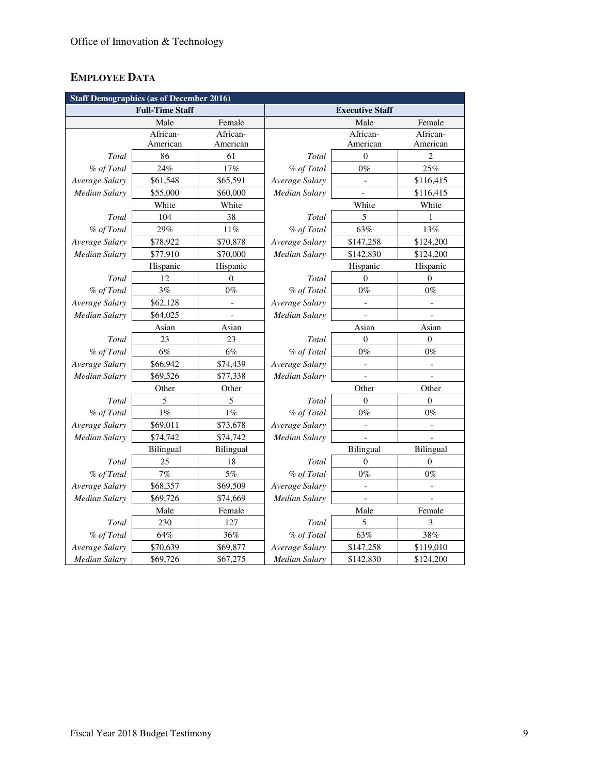# **EMPLOYEE DATA**

|                      | <b>Staff Demographics (as of December 2016)</b> |                          |                        |                              |                             |  |  |  |  |
|----------------------|-------------------------------------------------|--------------------------|------------------------|------------------------------|-----------------------------|--|--|--|--|
|                      | <b>Full-Time Staff</b>                          |                          | <b>Executive Staff</b> |                              |                             |  |  |  |  |
|                      | Male                                            | Female                   |                        | Male                         | Female                      |  |  |  |  |
|                      | African-                                        | African-                 |                        | African-                     | African-                    |  |  |  |  |
|                      | American                                        | American                 |                        | American                     | American                    |  |  |  |  |
| Total                | 86                                              | 61                       | Total                  | $\mathbf{0}$                 | $\overline{2}$              |  |  |  |  |
| % of Total           | 24%                                             | 17%                      | % of Total             | $0\%$                        | 25%                         |  |  |  |  |
| Average Salary       | \$61,548                                        | \$65,591                 | Average Salary         |                              | \$116,415                   |  |  |  |  |
| <b>Median Salary</b> | \$55,000                                        | \$60,000                 | Median Salary          |                              | \$116,415                   |  |  |  |  |
|                      | White                                           | White                    |                        | White                        | White                       |  |  |  |  |
| <b>Total</b>         | 104                                             | 38                       | Total                  | 5                            | 1                           |  |  |  |  |
| % of Total           | 29%                                             | 11%                      | % of Total             | 63%                          | 13%                         |  |  |  |  |
| Average Salary       | \$78,922                                        | \$70,878                 | Average Salary         | \$147,258                    | \$124,200                   |  |  |  |  |
| Median Salary        | \$77,910                                        | \$70,000                 | Median Salary          | \$142,830                    | \$124,200                   |  |  |  |  |
|                      | Hispanic                                        | Hispanic                 |                        | Hispanic                     | Hispanic                    |  |  |  |  |
| Total                | 12                                              | $\overline{0}$           | Total                  | $\theta$                     | $\Omega$                    |  |  |  |  |
| % of Total           | 3%                                              | $0\%$                    | % of Total             | $0\%$                        | $0\%$                       |  |  |  |  |
| Average Salary       | \$62,128                                        | $\overline{\phantom{a}}$ | Average Salary         | $\qquad \qquad \Box$         | $\qquad \qquad \Box$        |  |  |  |  |
| Median Salary        | \$64,025                                        | $\overline{a}$           | <b>Median Salary</b>   |                              | $\qquad \qquad \Box$        |  |  |  |  |
|                      | Asian                                           | Asian                    |                        | Asian                        | Asian                       |  |  |  |  |
| Total                | 23                                              | 23                       | Total                  | $\theta$                     | $\overline{0}$              |  |  |  |  |
| % of Total           | $6\%$                                           | $6\%$                    | % of Total             | $0\%$                        | $0\%$                       |  |  |  |  |
| Average Salary       | \$66,942                                        | \$74,439                 | Average Salary         | $\overline{\phantom{m}}$     | $\overline{a}$              |  |  |  |  |
| <b>Median Salary</b> | \$69,526                                        | \$77,338                 | <b>Median Salary</b>   |                              |                             |  |  |  |  |
|                      | Other                                           | Other                    |                        | Other                        | Other                       |  |  |  |  |
| Total                | 5                                               | 5                        | Total                  | $\overline{0}$               | $\overline{0}$              |  |  |  |  |
| % of Total           | $1\%$                                           | $1\%$                    | % of Total             | $0\%$                        | $0\%$                       |  |  |  |  |
| Average Salary       | \$69,011                                        | \$73,678                 | Average Salary         | $\overline{a}$               | $\qquad \qquad -$           |  |  |  |  |
| <b>Median Salary</b> | \$74,742                                        | \$74,742                 | Median Salary          | $\overline{a}$               | $\overline{a}$              |  |  |  |  |
|                      | Bilingual                                       | Bilingual                |                        | <b>Bilingual</b>             | Bilingual                   |  |  |  |  |
| Total                | 25                                              | 18                       | Total                  | $\boldsymbol{0}$             | $\boldsymbol{0}$            |  |  |  |  |
| % of Total           | 7%                                              | $5\%$                    | % of Total             | $0\%$                        | $0\%$                       |  |  |  |  |
| Average Salary       | \$68,357                                        | \$69,509                 | Average Salary         | $\qquad \qquad \blacksquare$ | $\qquad \qquad -$           |  |  |  |  |
| <b>Median Salary</b> | \$69,726                                        | \$74,669                 | Median Salary          |                              |                             |  |  |  |  |
|                      | Male                                            | Female                   |                        | Male                         | Female                      |  |  |  |  |
| Total                | 230<br>127                                      |                          | Total                  | 5                            | $\ensuremath{\mathfrak{Z}}$ |  |  |  |  |
| % of Total           | 64%                                             | 36%                      | % of Total             | 63%                          | 38%                         |  |  |  |  |
| Average Salary       | \$70,639                                        | \$69,877                 | Average Salary         | \$147,258                    | \$119,010                   |  |  |  |  |
| <b>Median Salary</b> | \$69,726                                        | \$67,275                 | Median Salary          | \$142,830                    | \$124,200                   |  |  |  |  |